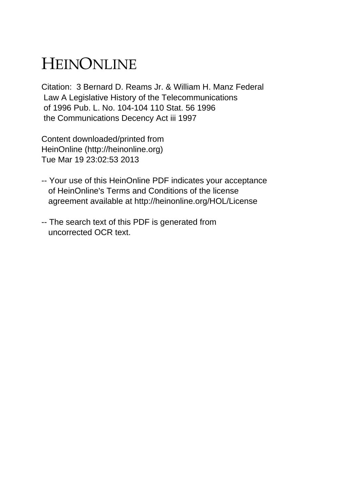## HEINONLINE

Citation: 3 Bernard D. Reams Jr. & William H. Manz Federal Law A Legislative History of the Telecommunications of 1996 Pub. L. No. 104-104 110 Stat. 56 1996 the Communications Decency Act iii 1997

Content downloaded/printed from HeinOnline (http://heinonline.org) Tue Mar 19 23:02:53 2013

- -- Your use of this HeinOnline PDF indicates your acceptance of HeinOnline's Terms and Conditions of the license agreement available at http://heinonline.org/HOL/License
- -- The search text of this PDF is generated from uncorrected OCR text.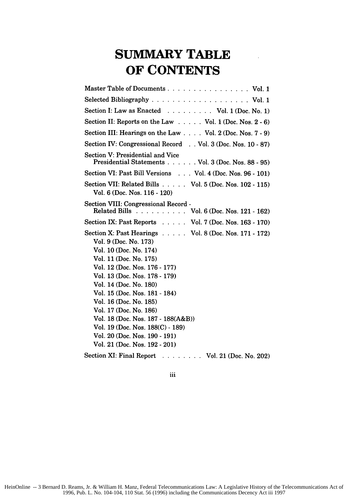## **SUMMARY TABLE OF CONTENTS**

| Master Table of Documents Vol. 1                                                                                                                                                                                                                                                                                                                                                                                                                                |
|-----------------------------------------------------------------------------------------------------------------------------------------------------------------------------------------------------------------------------------------------------------------------------------------------------------------------------------------------------------------------------------------------------------------------------------------------------------------|
|                                                                                                                                                                                                                                                                                                                                                                                                                                                                 |
| Section I: Law as Enacted Vol. 1 (Doc. No. 1)                                                                                                                                                                                                                                                                                                                                                                                                                   |
| Section II: Reports on the Law Vol. 1 (Doc. Nos. 2 - 6)                                                                                                                                                                                                                                                                                                                                                                                                         |
| Section III: Hearings on the Law Vol. 2 (Doc. Nos. 7 - 9)                                                                                                                                                                                                                                                                                                                                                                                                       |
| Section IV: Congressional Record Vol. 3 (Doc. Nos. 10 - 87)                                                                                                                                                                                                                                                                                                                                                                                                     |
| Section V: Presidential and Vice<br>Presidential Statements Vol. 3 (Doc. Nos. 88 - 95)                                                                                                                                                                                                                                                                                                                                                                          |
| Section VI: Past Bill Versions Vol. 4 (Doc. Nos. 96 - 101)                                                                                                                                                                                                                                                                                                                                                                                                      |
| Section VII: Related Bills Vol. 5 (Doc. Nos. 102 - 115)<br>Vol. 6 (Doc. Nos. 116 - 120)                                                                                                                                                                                                                                                                                                                                                                         |
| Section VIII: Congressional Record -<br>Related Bills Vol. 6 (Doc. Nos. 121 - 162)                                                                                                                                                                                                                                                                                                                                                                              |
| Section IX: Past Reports Vol. 7 (Doc. Nos. 163 - 170)                                                                                                                                                                                                                                                                                                                                                                                                           |
| Section X: Past Hearings Vol. 8 (Doc. Nos. 171 - 172)<br>Vol. 9 (Doc. No. 173)<br>Vol. 10 (Doc. No. 174)<br>Vol. 11 (Doc. No. 175)<br>Vol. 12 (Doc. Nos. 176 - 177)<br>Vol. 13 (Doc. Nos. 178 - 179)<br>Vol. 14 (Doc. No. 180)<br>Vol. 15 (Doc. Nos. 181 - 184)<br>Vol. 16 (Doc. No. 185)<br>Vol. 17 (Doc. No. 186)<br>Vol. 18 (Doc. Nos. 187 - 188(A&B))<br>Vol. 19 (Doc. Nos. 188(C) - 189)<br>Vol. 20 (Doc. Nos. 190 - 191)<br>Vol. 21 (Doc. Nos. 192 - 201) |
| Section XI: Final Report<br>$\ldots$ Vol. 21 (Doc. No. 202)                                                                                                                                                                                                                                                                                                                                                                                                     |

iii